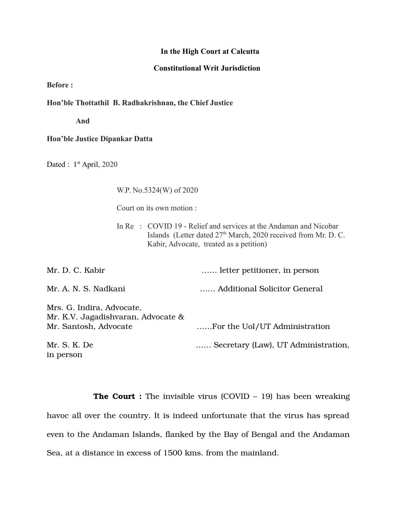## **In the High Court at Calcutta**

## **Constitutional Writ Jurisdiction**

**Before :**

**Hon'ble Thottathil B. Radhakrishnan, the Chief Justice**

 **And**

## **Hon'ble Justice Dipankar Datta**

Dated : 1<sup>st</sup> April, 2020

W.P. No.5324(W) of 2020

Court on its own motion :

In Re : COVID 19 - Relief and services at the Andaman and Nicobar Islands (Letter dated 27<sup>th</sup> March, 2020 received from Mr. D. C. Kabir, Advocate, treated as a petition)

| Mr. D. C. Kabir                                                                          | letter petitioner, in person        |
|------------------------------------------------------------------------------------------|-------------------------------------|
| Mr. A. N. S. Nadkani                                                                     | Additional Solicitor General        |
| Mrs. G. Indira, Advocate,<br>Mr. K.V. Jagadishvaran, Advocate &<br>Mr. Santosh, Advocate | For the UoI/UT Administration       |
| Mr. S. K. De<br>in person                                                                | Secretary (Law), UT Administration, |

**The Court :** The invisible virus (COVID – 19) has been wreaking havoc all over the country. It is indeed unfortunate that the virus has spread even to the Andaman Islands, flanked by the Bay of Bengal and the Andaman Sea, at a distance in excess of 1500 kms. from the mainland.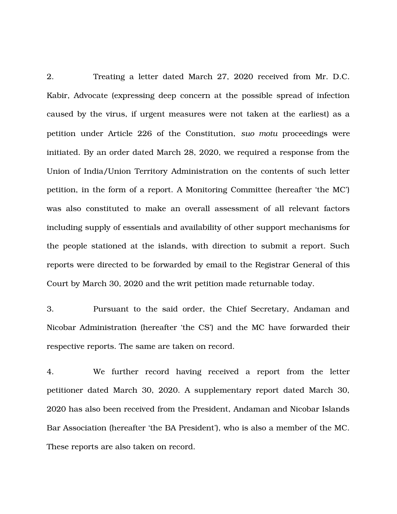2. Treating a letter dated March 27, 2020 received from Mr. D.C. Kabir, Advocate (expressing deep concern at the possible spread of infection caused by the virus, if urgent measures were not taken at the earliest) as a petition under Article 226 of the Constitution, *suo motu* proceedings were initiated. By an order dated March 28, 2020, we required a response from the Union of India/Union Territory Administration on the contents of such letter petition, in the form of a report. A Monitoring Committee (hereafter 'the MC') was also constituted to make an overall assessment of all relevant factors including supply of essentials and availability of other support mechanisms for the people stationed at the islands, with direction to submit a report. Such reports were directed to be forwarded by email to the Registrar General of this Court by March 30, 2020 and the writ petition made returnable today.

3. Pursuant to the said order, the Chief Secretary, Andaman and Nicobar Administration (hereafter 'the CS') and the MC have forwarded their respective reports. The same are taken on record.

4. We further record having received a report from the letter petitioner dated March 30, 2020. A supplementary report dated March 30, 2020 has also been received from the President, Andaman and Nicobar Islands Bar Association (hereafter 'the BA President'), who is also a member of the MC. These reports are also taken on record.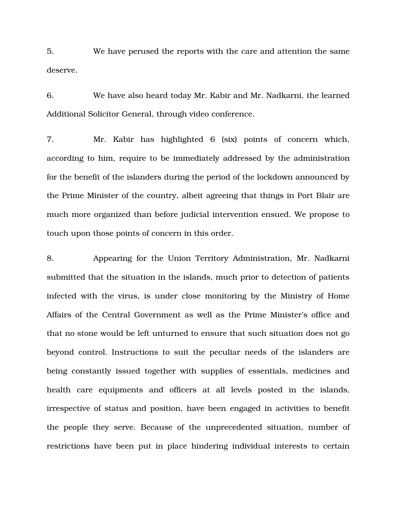5. We have perused the reports with the care and attention the same deserve.

6. We have also heard today Mr. Kabir and Mr. Nadkarni, the learned Additional Solicitor General, through video conference.

7. Mr. Kabir has highlighted 6 (six) points of concern which, according to him, require to be immediately addressed by the administration for the benefit of the islanders during the period of the lockdown announced by the Prime Minister of the country, albeit agreeing that things in Port Blair are much more organized than before judicial intervention ensued. We propose to touch upon those points of concern in this order.

8. Appearing for the Union Territory Administration, Mr. Nadkarni submitted that the situation in the islands, much prior to detection of patients infected with the virus, is under close monitoring by the Ministry of Home Affairs of the Central Government as well as the Prime Minister's office and that no stone would be left unturned to ensure that such situation does not go beyond control. Instructions to suit the peculiar needs of the islanders are being constantly issued together with supplies of essentials, medicines and health care equipments and officers at all levels posted in the islands, irrespective of status and position, have been engaged in activities to benefit the people they serve. Because of the unprecedented situation, number of restrictions have been put in place hindering individual interests to certain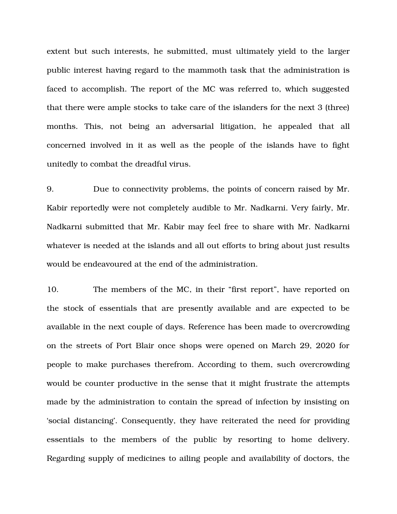extent but such interests, he submitted, must ultimately yield to the larger public interest having regard to the mammoth task that the administration is faced to accomplish. The report of the MC was referred to, which suggested that there were ample stocks to take care of the islanders for the next 3 (three) months. This, not being an adversarial litigation, he appealed that all concerned involved in it as well as the people of the islands have to fight unitedly to combat the dreadful virus.

9. Due to connectivity problems, the points of concern raised by Mr. Kabir reportedly were not completely audible to Mr. Nadkarni. Very fairly, Mr. Nadkarni submitted that Mr. Kabir may feel free to share with Mr. Nadkarni whatever is needed at the islands and all out efforts to bring about just results would be endeavoured at the end of the administration.

10. The members of the MC, in their "first report", have reported on the stock of essentials that are presently available and are expected to be available in the next couple of days. Reference has been made to overcrowding on the streets of Port Blair once shops were opened on March 29, 2020 for people to make purchases therefrom. According to them, such overcrowding would be counter productive in the sense that it might frustrate the attempts made by the administration to contain the spread of infection by insisting on 'social distancing'. Consequently, they have reiterated the need for providing essentials to the members of the public by resorting to home delivery. Regarding supply of medicines to ailing people and availability of doctors, the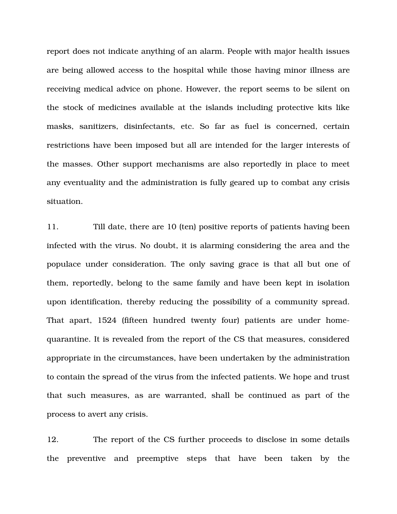report does not indicate anything of an alarm. People with major health issues are being allowed access to the hospital while those having minor illness are receiving medical advice on phone. However, the report seems to be silent on the stock of medicines available at the islands including protective kits like masks, sanitizers, disinfectants, etc. So far as fuel is concerned, certain restrictions have been imposed but all are intended for the larger interests of the masses. Other support mechanisms are also reportedly in place to meet any eventuality and the administration is fully geared up to combat any crisis situation.

11. Till date, there are 10 (ten) positive reports of patients having been infected with the virus. No doubt, it is alarming considering the area and the populace under consideration. The only saving grace is that all but one of them, reportedly, belong to the same family and have been kept in isolation upon identification, thereby reducing the possibility of a community spread. That apart, 1524 (fifteen hundred twenty four) patients are under homequarantine. It is revealed from the report of the CS that measures, considered appropriate in the circumstances, have been undertaken by the administration to contain the spread of the virus from the infected patients. We hope and trust that such measures, as are warranted, shall be continued as part of the process to avert any crisis.

12. The report of the CS further proceeds to disclose in some details the preventive and preemptive steps that have been taken by the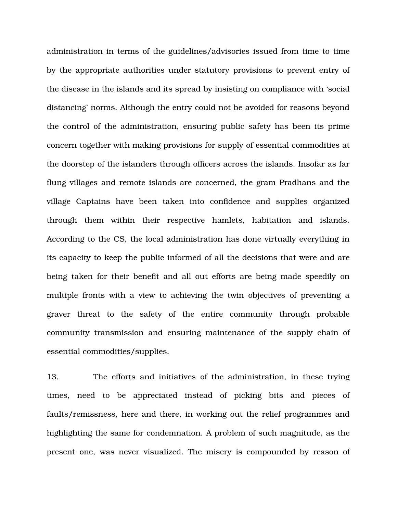administration in terms of the guidelines/advisories issued from time to time by the appropriate authorities under statutory provisions to prevent entry of the disease in the islands and its spread by insisting on compliance with 'social distancing' norms. Although the entry could not be avoided for reasons beyond the control of the administration, ensuring public safety has been its prime concern together with making provisions for supply of essential commodities at the doorstep of the islanders through officers across the islands. Insofar as far flung villages and remote islands are concerned, the gram Pradhans and the village Captains have been taken into confidence and supplies organized through them within their respective hamlets, habitation and islands. According to the CS, the local administration has done virtually everything in its capacity to keep the public informed of all the decisions that were and are being taken for their benefit and all out efforts are being made speedily on multiple fronts with a view to achieving the twin objectives of preventing a graver threat to the safety of the entire community through probable community transmission and ensuring maintenance of the supply chain of essential commodities/supplies.

13. The efforts and initiatives of the administration, in these trying times, need to be appreciated instead of picking bits and pieces of faults/remissness, here and there, in working out the relief programmes and highlighting the same for condemnation. A problem of such magnitude, as the present one, was never visualized. The misery is compounded by reason of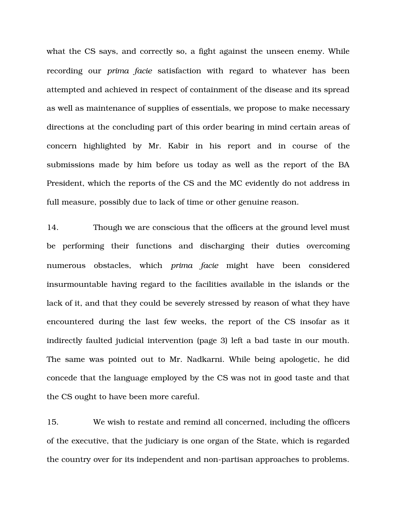what the CS says, and correctly so, a fight against the unseen enemy. While recording our *prima facie* satisfaction with regard to whatever has been attempted and achieved in respect of containment of the disease and its spread as well as maintenance of supplies of essentials, we propose to make necessary directions at the concluding part of this order bearing in mind certain areas of concern highlighted by Mr. Kabir in his report and in course of the submissions made by him before us today as well as the report of the BA President, which the reports of the CS and the MC evidently do not address in full measure, possibly due to lack of time or other genuine reason.

14. Though we are conscious that the officers at the ground level must be performing their functions and discharging their duties overcoming numerous obstacles, which *prima facie* might have been considered insurmountable having regard to the facilities available in the islands or the lack of it, and that they could be severely stressed by reason of what they have encountered during the last few weeks, the report of the CS insofar as it indirectly faulted judicial intervention (page 3) left a bad taste in our mouth. The same was pointed out to Mr. Nadkarni. While being apologetic, he did concede that the language employed by the CS was not in good taste and that the CS ought to have been more careful.

15. We wish to restate and remind all concerned, including the officers of the executive, that the judiciary is one organ of the State, which is regarded the country over for its independent and non-partisan approaches to problems.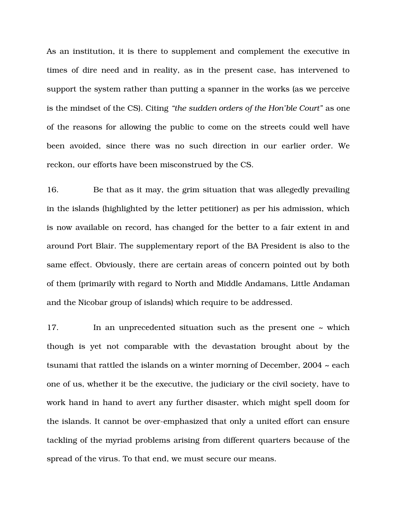As an institution, it is there to supplement and complement the executive in times of dire need and in reality, as in the present case, has intervened to support the system rather than putting a spanner in the works (as we perceive is the mindset of the CS). Citing *"the sudden orders of the Hon'ble Court"* as one of the reasons for allowing the public to come on the streets could well have been avoided, since there was no such direction in our earlier order. We reckon, our efforts have been misconstrued by the CS.

16. Be that as it may, the grim situation that was allegedly prevailing in the islands (highlighted by the letter petitioner) as per his admission, which is now available on record, has changed for the better to a fair extent in and around Port Blair. The supplementary report of the BA President is also to the same effect. Obviously, there are certain areas of concern pointed out by both of them (primarily with regard to North and Middle Andamans, Little Andaman and the Nicobar group of islands) which require to be addressed.

17. In an unprecedented situation such as the present one ~ which though is yet not comparable with the devastation brought about by the tsunami that rattled the islands on a winter morning of December,  $2004 \sim$  each one of us, whether it be the executive, the judiciary or the civil society, have to work hand in hand to avert any further disaster, which might spell doom for the islands. It cannot be over-emphasized that only a united effort can ensure tackling of the myriad problems arising from different quarters because of the spread of the virus. To that end, we must secure our means.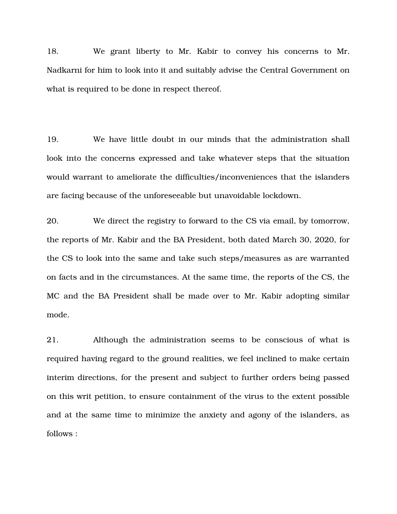18. We grant liberty to Mr. Kabir to convey his concerns to Mr. Nadkarni for him to look into it and suitably advise the Central Government on what is required to be done in respect thereof.

19. We have little doubt in our minds that the administration shall look into the concerns expressed and take whatever steps that the situation would warrant to ameliorate the difficulties/inconveniences that the islanders are facing because of the unforeseeable but unavoidable lockdown.

20. We direct the registry to forward to the CS via email, by tomorrow, the reports of Mr. Kabir and the BA President, both dated March 30, 2020, for the CS to look into the same and take such steps/measures as are warranted on facts and in the circumstances. At the same time, the reports of the CS, the MC and the BA President shall be made over to Mr. Kabir adopting similar mode.

21. Although the administration seems to be conscious of what is required having regard to the ground realities, we feel inclined to make certain interim directions, for the present and subject to further orders being passed on this writ petition, to ensure containment of the virus to the extent possible and at the same time to minimize the anxiety and agony of the islanders, as follows :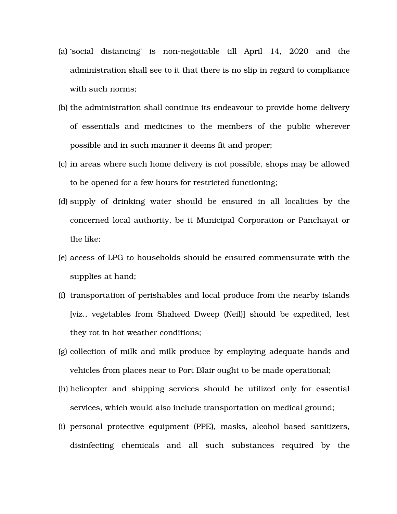- (a) social distancing is non-negotiable till April  $14$ ,  $2020$  and the administration shall see to it that there is no slip in regard to compliance with such norms;
- (b) the administration shall continue its endeavour to provide home delivery of essentials and medicines to the members of the public wherever possible and in such manner it deems fit and proper;
- (c) in areas where such home delivery is not possible, shops may be allowed to be opened for a few hours for restricted functioning;
- (d) supply of drinking water should be ensured in all localities by the concerned local authority, be it Municipal Corporation or Panchayat or the like;
- (e) access of LPG to households should be ensured commensurate with the supplies at hand;
- (f) transportation of perishables and local produce from the nearby islands [viz., vegetables from Shaheed Dweep (Neil)] should be expedited, lest they rot in hot weather conditions;
- (g) collection of milk and milk produce by employing adequate hands and vehicles from places near to Port Blair ought to be made operational;
- (h) helicopter and shipping services should be utilized only for essential services, which would also include transportation on medical ground;
- (i) personal protective equipment (PPE), masks, alcohol based sanitizers, disinfecting chemicals and all such substances required by the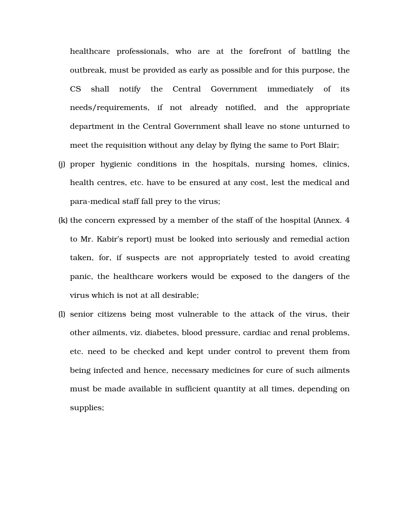healthcare professionals, who are at the forefront of battling the outbreak, must be provided as early as possible and for this purpose, the CS shall notify the Central Government immediately of its needs/requirements, if not already notified, and the appropriate department in the Central Government shall leave no stone unturned to meet the requisition without any delay by flying the same to Port Blair;

- (j) proper hygienic conditions in the hospitals, nursing homes, clinics, health centres, etc. have to be ensured at any cost, lest the medical and para-medical staff fall prey to the virus;
- (k) the concern expressed by a member of the staff of the hospital (Annex. 4 to Mr. Kabir's report) must be looked into seriously and remedial action taken, for, if suspects are not appropriately tested to avoid creating panic, the healthcare workers would be exposed to the dangers of the virus which is not at all desirable;
- (l) senior citizens being most vulnerable to the attack of the virus, their other ailments, viz. diabetes, blood pressure, cardiac and renal problems, etc. need to be checked and kept under control to prevent them from being infected and hence, necessary medicines for cure of such ailments must be made available in sufficient quantity at all times, depending on supplies;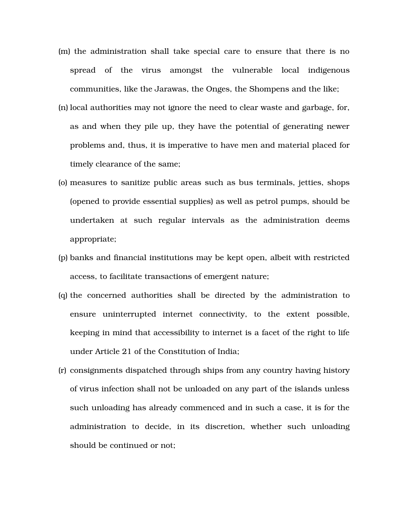- (m) the administration shall take special care to ensure that there is no spread of the virus amongst the vulnerable local indigenous communities, like the Jarawas, the Onges, the Shompens and the like;
- (n) local authorities may not ignore the need to clear waste and garbage, for, as and when they pile up, they have the potential of generating newer problems and, thus, it is imperative to have men and material placed for timely clearance of the same;
- (o) measures to sanitize public areas such as bus terminals, jetties, shops (opened to provide essential supplies) as well as petrol pumps, should be undertaken at such regular intervals as the administration deems appropriate;
- (p) banks and financial institutions may be kept open, albeit with restricted access, to facilitate transactions of emergent nature;
- (q) the concerned authorities shall be directed by the administration to ensure uninterrupted internet connectivity, to the extent possible, keeping in mind that accessibility to internet is a facet of the right to life under Article 21 of the Constitution of India;
- (r) consignments dispatched through ships from any country having history of virus infection shall not be unloaded on any part of the islands unless such unloading has already commenced and in such a case, it is for the administration to decide, in its discretion, whether such unloading should be continued or not;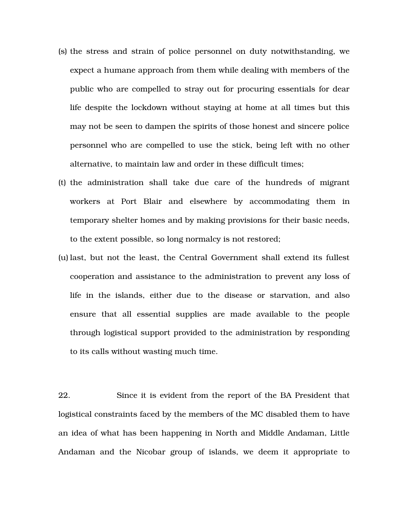- (s) the stress and strain of police personnel on duty notwithstanding, we expect a humane approach from them while dealing with members of the public who are compelled to stray out for procuring essentials for dear life despite the lockdown without staying at home at all times but this may not be seen to dampen the spirits of those honest and sincere police personnel who are compelled to use the stick, being left with no other alternative, to maintain law and order in these difficult times;
- (t) the administration shall take due care of the hundreds of migrant workers at Port Blair and elsewhere by accommodating them in temporary shelter homes and by making provisions for their basic needs, to the extent possible, so long normalcy is not restored;
- (u) last, but not the least, the Central Government shall extend its fullest cooperation and assistance to the administration to prevent any loss of life in the islands, either due to the disease or starvation, and also ensure that all essential supplies are made available to the people through logistical support provided to the administration by responding to its calls without wasting much time.

22. Since it is evident from the report of the BA President that logistical constraints faced by the members of the MC disabled them to have an idea of what has been happening in North and Middle Andaman, Little Andaman and the Nicobar group of islands, we deem it appropriate to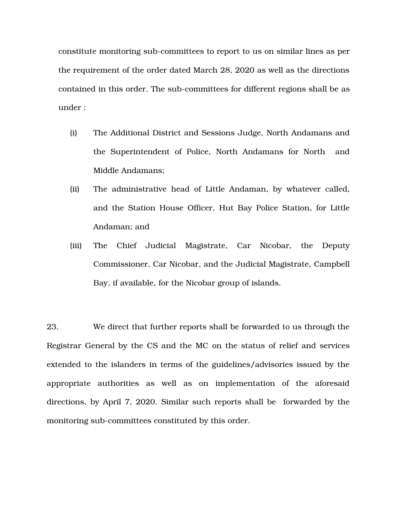constitute monitoring sub-committees to report to us on similar lines as per the requirement of the order dated March 28, 2020 as well as the directions contained in this order. The sub-committees for different regions shall be as under :

- (i) The Additional District and Sessions Judge, North Andamans and the Superintendent of Police, North Andamans for North and Middle Andamans;
- (ii) The administrative head of Little Andaman, by whatever called, and the Station House Officer, Hut Bay Police Station, for Little Andaman; and
- (iii) The Chief Judicial Magistrate, Car Nicobar, the Deputy Commissioner, Car Nicobar, and the Judicial Magistrate, Campbell Bay, if available, for the Nicobar group of islands.

23. We direct that further reports shall be forwarded to us through the Registrar General by the CS and the MC on the status of relief and services extended to the islanders in terms of the guidelines/advisories issued by the appropriate authorities as well as on implementation of the aforesaid directions, by April 7, 2020. Similar such reports shall be forwarded by the monitoring sub-committees constituted by this order.